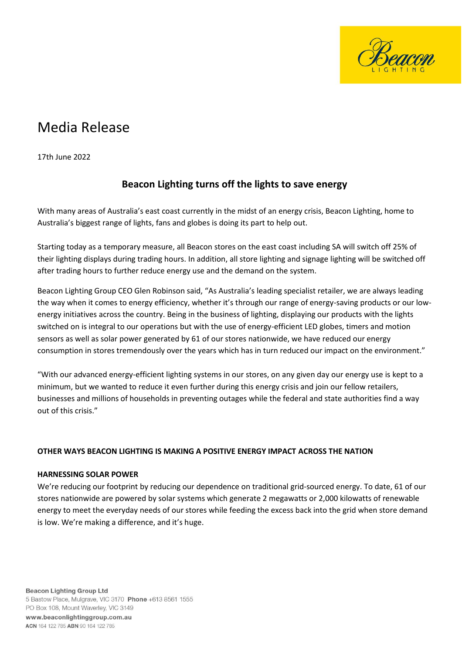

# Media Release

17th June 2022

# **Beacon Lighting turns off the lights to save energy**

With many areas of Australia's east coast currently in the midst of an energy crisis, Beacon Lighting, home to Australia's biggest range of lights, fans and globes is doing its part to help out.

Starting today as a temporary measure, all Beacon stores on the east coast including SA will switch off 25% of their lighting displays during trading hours. In addition, all store lighting and signage lighting will be switched off after trading hours to further reduce energy use and the demand on the system.

Beacon Lighting Group CEO Glen Robinson said, "As Australia's leading specialist retailer, we are always leading the way when it comes to energy efficiency, whether it's through our range of energy-saving products or our lowenergy initiatives across the country. Being in the business of lighting, displaying our products with the lights switched on is integral to our operations but with the use of energy-efficient LED globes, timers and motion sensors as well as solar power generated by 61 of our stores nationwide, we have reduced our energy consumption in stores tremendously over the years which has in turn reduced our impact on the environment."

"With our advanced energy-efficient lighting systems in our stores, on any given day our energy use is kept to a minimum, but we wanted to reduce it even further during this energy crisis and join our fellow retailers, businesses and millions of households in preventing outages while the federal and state authorities find a way out of this crisis."

# **OTHER WAYS BEACON LIGHTING IS MAKING A POSITIVE ENERGY IMPACT ACROSS THE NATION**

# **HARNESSING SOLAR POWER**

We're reducing our footprint by reducing our dependence on traditional grid-sourced energy. To date, 61 of our stores nationwide are powered by solar systems which generate 2 megawatts or 2,000 kilowatts of renewable energy to meet the everyday needs of our stores while feeding the excess back into the grid when store demand is low. We're making a difference, and it's huge.